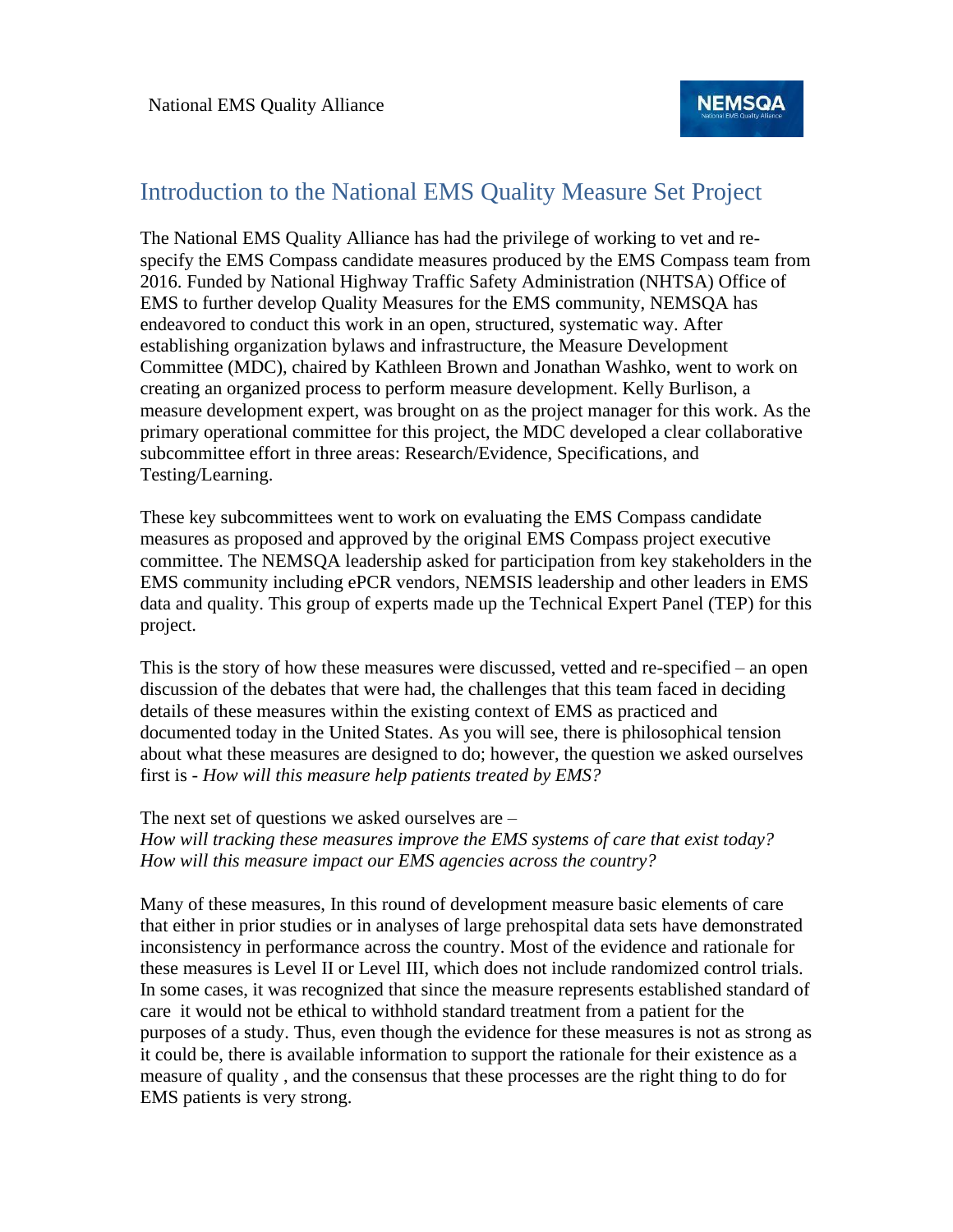

#### Introduction to the National EMS Quality Measure Set Project

The National EMS Quality Alliance has had the privilege of working to vet and respecify the EMS Compass candidate measures produced by the EMS Compass team from 2016. Funded by National Highway Traffic Safety Administration (NHTSA) Office of EMS to further develop Quality Measures for the EMS community, NEMSQA has endeavored to conduct this work in an open, structured, systematic way. After establishing organization bylaws and infrastructure, the Measure Development Committee (MDC), chaired by Kathleen Brown and Jonathan Washko, went to work on creating an organized process to perform measure development. Kelly Burlison, a measure development expert, was brought on as the project manager for this work. As the primary operational committee for this project, the MDC developed a clear collaborative subcommittee effort in three areas: Research/Evidence, Specifications, and Testing/Learning.

These key subcommittees went to work on evaluating the EMS Compass candidate measures as proposed and approved by the original EMS Compass project executive committee. The NEMSQA leadership asked for participation from key stakeholders in the EMS community including ePCR vendors, NEMSIS leadership and other leaders in EMS data and quality. This group of experts made up the Technical Expert Panel (TEP) for this project.

This is the story of how these measures were discussed, vetted and re-specified – an open discussion of the debates that were had, the challenges that this team faced in deciding details of these measures within the existing context of EMS as practiced and documented today in the United States. As you will see, there is philosophical tension about what these measures are designed to do; however, the question we asked ourselves first is - *How will this measure help patients treated by EMS?* 

#### The next set of questions we asked ourselves are –

*How will tracking these measures improve the EMS systems of care that exist today? How will this measure impact our EMS agencies across the country?* 

Many of these measures, In this round of development measure basic elements of care that either in prior studies or in analyses of large prehospital data sets have demonstrated inconsistency in performance across the country. Most of the evidence and rationale for these measures is Level II or Level III, which does not include randomized control trials. In some cases, it was recognized that since the measure represents established standard of care it would not be ethical to withhold standard treatment from a patient for the purposes of a study. Thus, even though the evidence for these measures is not as strong as it could be, there is available information to support the rationale for their existence as a measure of quality , and the consensus that these processes are the right thing to do for EMS patients is very strong.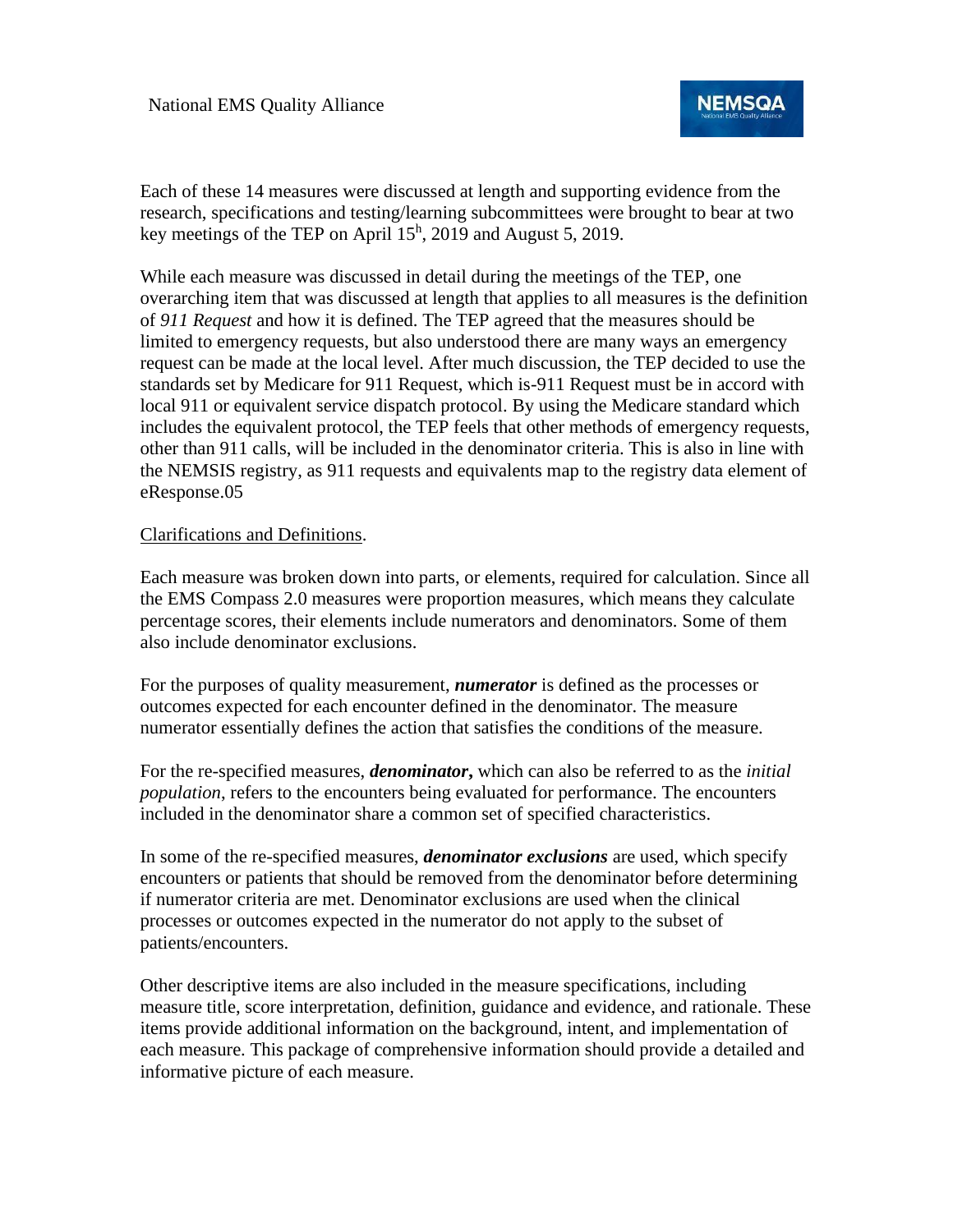

Each of these 14 measures were discussed at length and supporting evidence from the research, specifications and testing/learning subcommittees were brought to bear at two key meetings of the TEP on April  $15<sup>h</sup>$ , 2019 and August 5, 2019.

While each measure was discussed in detail during the meetings of the TEP, one overarching item that was discussed at length that applies to all measures is the definition of *911 Request* and how it is defined. The TEP agreed that the measures should be limited to emergency requests, but also understood there are many ways an emergency request can be made at the local level. After much discussion, the TEP decided to use the standards set by Medicare for 911 Request, which is-911 Request must be in accord with local 911 or equivalent service dispatch protocol. By using the Medicare standard which includes the equivalent protocol, the TEP feels that other methods of emergency requests, other than 911 calls, will be included in the denominator criteria. This is also in line with the NEMSIS registry, as 911 requests and equivalents map to the registry data element of eResponse.05

#### Clarifications and Definitions.

Each measure was broken down into parts, or elements, required for calculation. Since all the EMS Compass 2.0 measures were proportion measures, which means they calculate percentage scores, their elements include numerators and denominators. Some of them also include denominator exclusions.

For the purposes of quality measurement, *numerator* is defined as the processes or outcomes expected for each encounter defined in the denominator. The measure numerator essentially defines the action that satisfies the conditions of the measure.

For the re-specified measures, *denominator***,** which can also be referred to as the *initial population*, refers to the encounters being evaluated for performance. The encounters included in the denominator share a common set of specified characteristics.

In some of the re-specified measures, *denominator exclusions* are used, which specify encounters or patients that should be removed from the denominator before determining if numerator criteria are met. Denominator exclusions are used when the clinical processes or outcomes expected in the numerator do not apply to the subset of patients/encounters.

Other descriptive items are also included in the measure specifications, including measure title, score interpretation, definition, guidance and evidence, and rationale. These items provide additional information on the background, intent, and implementation of each measure. This package of comprehensive information should provide a detailed and informative picture of each measure.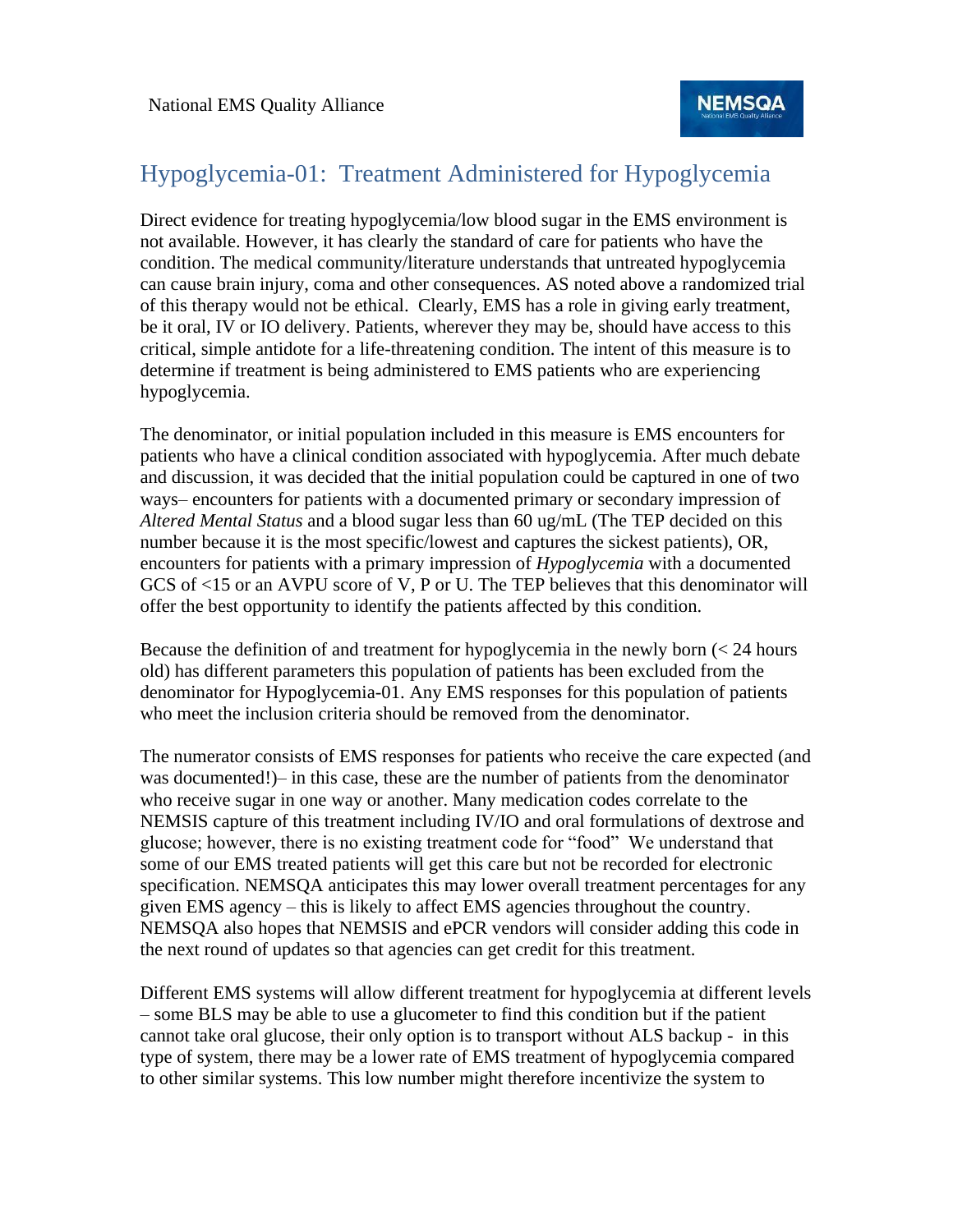### Hypoglycemia-01: Treatment Administered for Hypoglycemia

Direct evidence for treating hypoglycemia/low blood sugar in the EMS environment is not available. However, it has clearly the standard of care for patients who have the condition. The medical community/literature understands that untreated hypoglycemia can cause brain injury, coma and other consequences. AS noted above a randomized trial of this therapy would not be ethical. Clearly, EMS has a role in giving early treatment, be it oral, IV or IO delivery. Patients, wherever they may be, should have access to this critical, simple antidote for a life-threatening condition. The intent of this measure is to determine if treatment is being administered to EMS patients who are experiencing hypoglycemia.

The denominator, or initial population included in this measure is EMS encounters for patients who have a clinical condition associated with hypoglycemia. After much debate and discussion, it was decided that the initial population could be captured in one of two ways– encounters for patients with a documented primary or secondary impression of *Altered Mental Status* and a blood sugar less than 60 ug/mL (The TEP decided on this number because it is the most specific/lowest and captures the sickest patients), OR, encounters for patients with a primary impression of *Hypoglycemia* with a documented GCS of <15 or an AVPU score of V, P or U. The TEP believes that this denominator will offer the best opportunity to identify the patients affected by this condition.

Because the definition of and treatment for hypoglycemia in the newly born (< 24 hours old) has different parameters this population of patients has been excluded from the denominator for Hypoglycemia-01. Any EMS responses for this population of patients who meet the inclusion criteria should be removed from the denominator.

The numerator consists of EMS responses for patients who receive the care expected (and was documented!)– in this case, these are the number of patients from the denominator who receive sugar in one way or another. Many medication codes correlate to the NEMSIS capture of this treatment including IV/IO and oral formulations of dextrose and glucose; however, there is no existing treatment code for "food" We understand that some of our EMS treated patients will get this care but not be recorded for electronic specification. NEMSQA anticipates this may lower overall treatment percentages for any given EMS agency – this is likely to affect EMS agencies throughout the country. NEMSQA also hopes that NEMSIS and ePCR vendors will consider adding this code in the next round of updates so that agencies can get credit for this treatment.

Different EMS systems will allow different treatment for hypoglycemia at different levels – some BLS may be able to use a glucometer to find this condition but if the patient cannot take oral glucose, their only option is to transport without ALS backup - in this type of system, there may be a lower rate of EMS treatment of hypoglycemia compared to other similar systems. This low number might therefore incentivize the system to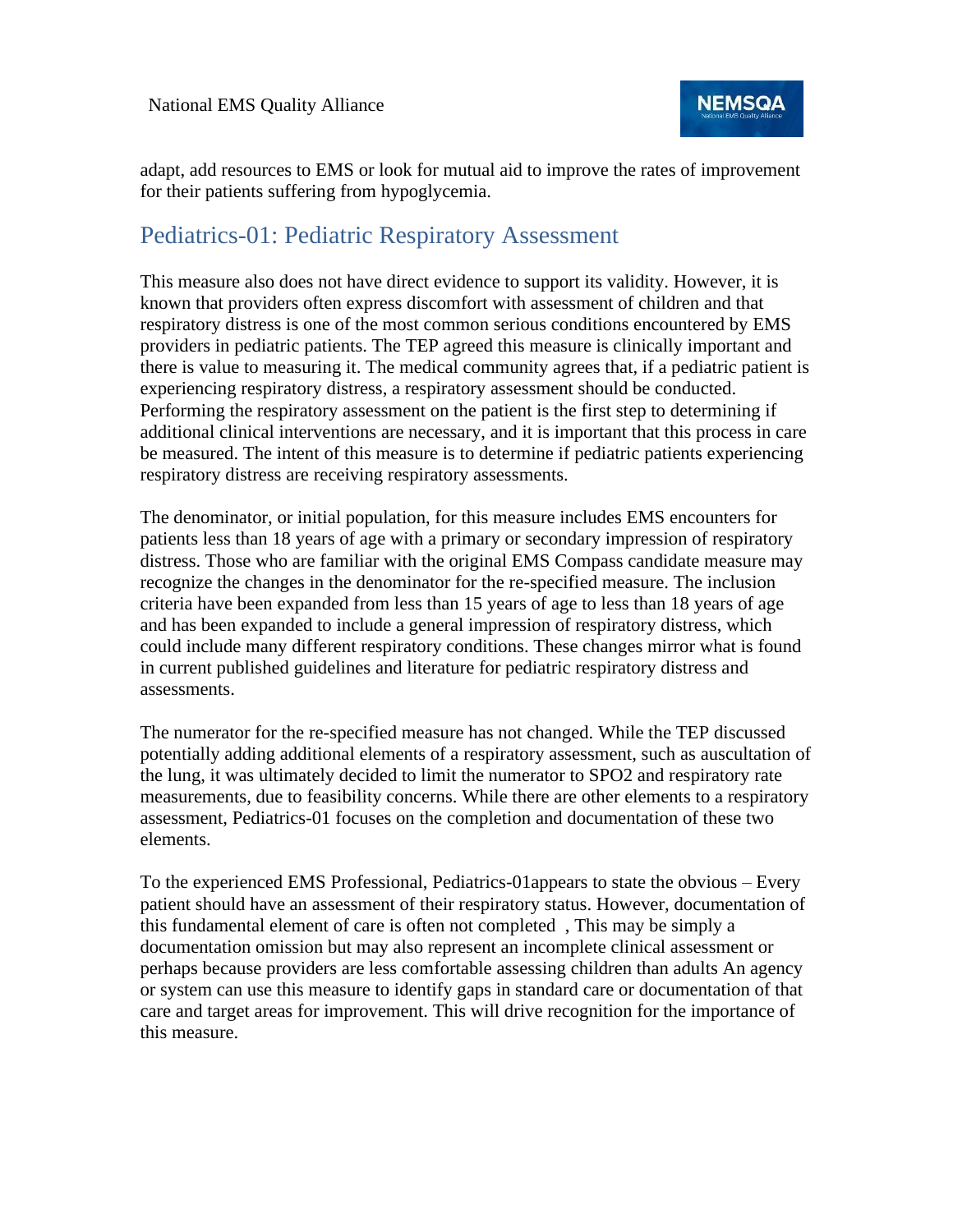

adapt, add resources to EMS or look for mutual aid to improve the rates of improvement for their patients suffering from hypoglycemia.

### Pediatrics-01: Pediatric Respiratory Assessment

This measure also does not have direct evidence to support its validity. However, it is known that providers often express discomfort with assessment of children and that respiratory distress is one of the most common serious conditions encountered by EMS providers in pediatric patients. The TEP agreed this measure is clinically important and there is value to measuring it. The medical community agrees that, if a pediatric patient is experiencing respiratory distress, a respiratory assessment should be conducted. Performing the respiratory assessment on the patient is the first step to determining if additional clinical interventions are necessary, and it is important that this process in care be measured. The intent of this measure is to determine if pediatric patients experiencing respiratory distress are receiving respiratory assessments.

The denominator, or initial population, for this measure includes EMS encounters for patients less than 18 years of age with a primary or secondary impression of respiratory distress. Those who are familiar with the original EMS Compass candidate measure may recognize the changes in the denominator for the re-specified measure. The inclusion criteria have been expanded from less than 15 years of age to less than 18 years of age and has been expanded to include a general impression of respiratory distress, which could include many different respiratory conditions. These changes mirror what is found in current published guidelines and literature for pediatric respiratory distress and assessments.

The numerator for the re-specified measure has not changed. While the TEP discussed potentially adding additional elements of a respiratory assessment, such as auscultation of the lung, it was ultimately decided to limit the numerator to SPO2 and respiratory rate measurements, due to feasibility concerns. While there are other elements to a respiratory assessment, Pediatrics-01 focuses on the completion and documentation of these two elements.

To the experienced EMS Professional, Pediatrics-01appears to state the obvious – Every patient should have an assessment of their respiratory status. However, documentation of this fundamental element of care is often not completed , This may be simply a documentation omission but may also represent an incomplete clinical assessment or perhaps because providers are less comfortable assessing children than adults An agency or system can use this measure to identify gaps in standard care or documentation of that care and target areas for improvement. This will drive recognition for the importance of this measure.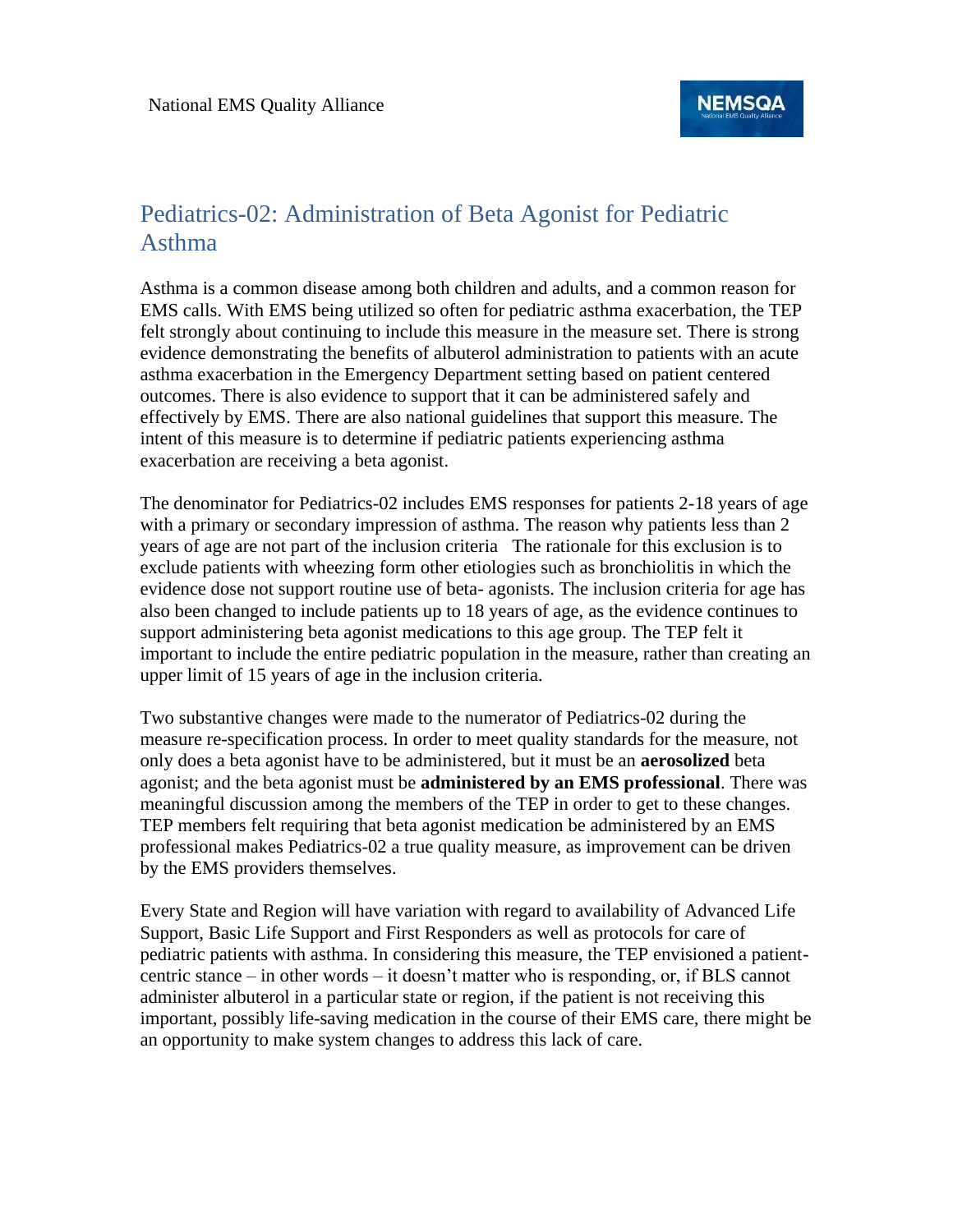# Pediatrics-02: Administration of Beta Agonist for Pediatric Asthma

Asthma is a common disease among both children and adults, and a common reason for EMS calls. With EMS being utilized so often for pediatric asthma exacerbation, the TEP felt strongly about continuing to include this measure in the measure set. There is strong evidence demonstrating the benefits of albuterol administration to patients with an acute asthma exacerbation in the Emergency Department setting based on patient centered outcomes. There is also evidence to support that it can be administered safely and effectively by EMS. There are also national guidelines that support this measure. The intent of this measure is to determine if pediatric patients experiencing asthma exacerbation are receiving a beta agonist.

The denominator for Pediatrics-02 includes EMS responses for patients 2-18 years of age with a primary or secondary impression of asthma. The reason why patients less than 2 years of age are not part of the inclusion criteria The rationale for this exclusion is to exclude patients with wheezing form other etiologies such as bronchiolitis in which the evidence dose not support routine use of beta- agonists. The inclusion criteria for age has also been changed to include patients up to 18 years of age, as the evidence continues to support administering beta agonist medications to this age group. The TEP felt it important to include the entire pediatric population in the measure, rather than creating an upper limit of 15 years of age in the inclusion criteria.

Two substantive changes were made to the numerator of Pediatrics-02 during the measure re-specification process. In order to meet quality standards for the measure, not only does a beta agonist have to be administered, but it must be an **aerosolized** beta agonist; and the beta agonist must be **administered by an EMS professional**. There was meaningful discussion among the members of the TEP in order to get to these changes. TEP members felt requiring that beta agonist medication be administered by an EMS professional makes Pediatrics-02 a true quality measure, as improvement can be driven by the EMS providers themselves.

Every State and Region will have variation with regard to availability of Advanced Life Support, Basic Life Support and First Responders as well as protocols for care of pediatric patients with asthma. In considering this measure, the TEP envisioned a patientcentric stance – in other words – it doesn't matter who is responding, or, if BLS cannot administer albuterol in a particular state or region, if the patient is not receiving this important, possibly life-saving medication in the course of their EMS care, there might be an opportunity to make system changes to address this lack of care.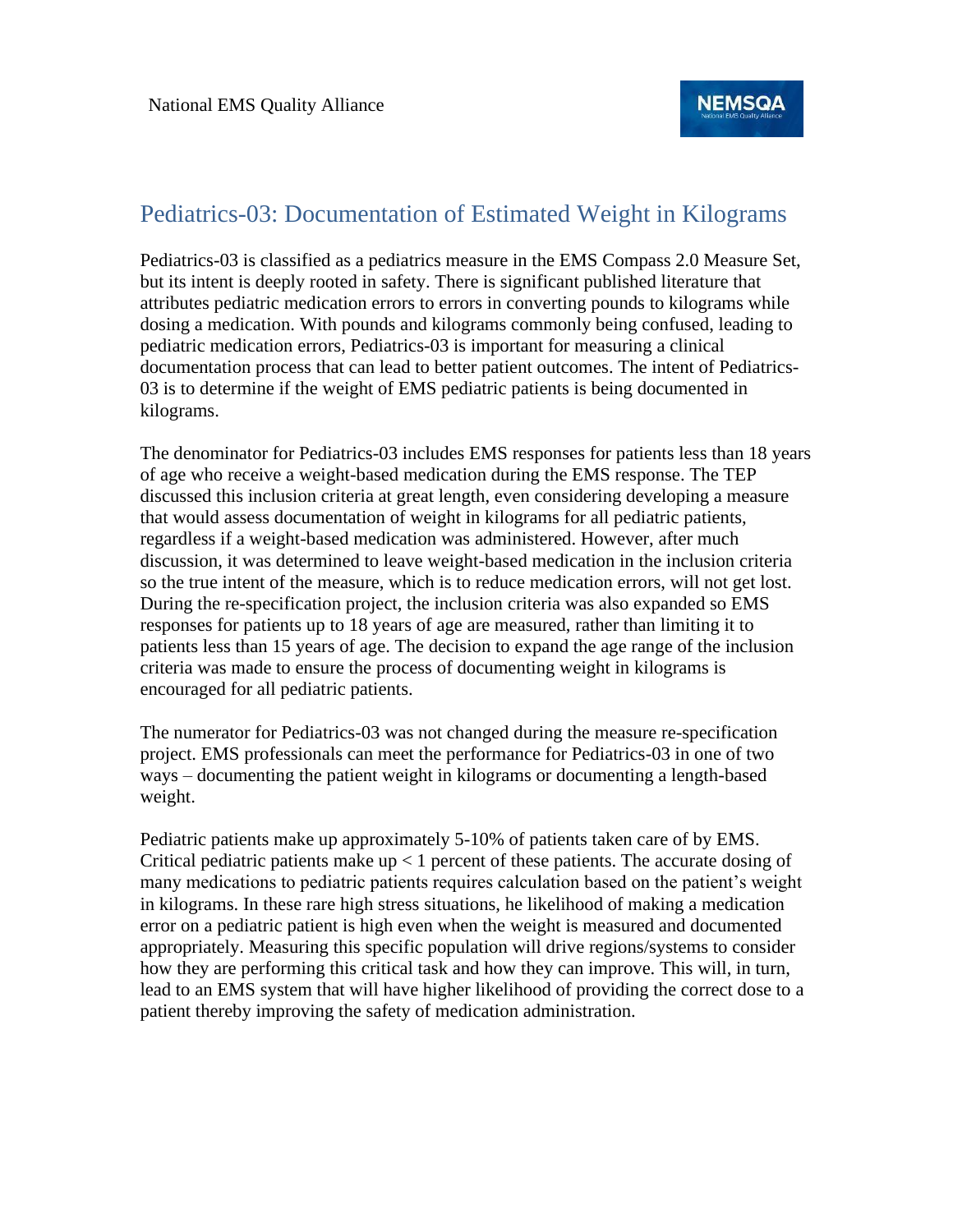### Pediatrics-03: Documentation of Estimated Weight in Kilograms

Pediatrics-03 is classified as a pediatrics measure in the EMS Compass 2.0 Measure Set, but its intent is deeply rooted in safety. There is significant published literature that attributes pediatric medication errors to errors in converting pounds to kilograms while dosing a medication. With pounds and kilograms commonly being confused, leading to pediatric medication errors, Pediatrics-03 is important for measuring a clinical documentation process that can lead to better patient outcomes. The intent of Pediatrics-03 is to determine if the weight of EMS pediatric patients is being documented in kilograms.

The denominator for Pediatrics-03 includes EMS responses for patients less than 18 years of age who receive a weight-based medication during the EMS response. The TEP discussed this inclusion criteria at great length, even considering developing a measure that would assess documentation of weight in kilograms for all pediatric patients, regardless if a weight-based medication was administered. However, after much discussion, it was determined to leave weight-based medication in the inclusion criteria so the true intent of the measure, which is to reduce medication errors, will not get lost. During the re-specification project, the inclusion criteria was also expanded so EMS responses for patients up to 18 years of age are measured, rather than limiting it to patients less than 15 years of age. The decision to expand the age range of the inclusion criteria was made to ensure the process of documenting weight in kilograms is encouraged for all pediatric patients.

The numerator for Pediatrics-03 was not changed during the measure re-specification project. EMS professionals can meet the performance for Pediatrics-03 in one of two ways – documenting the patient weight in kilograms or documenting a length-based weight.

Pediatric patients make up approximately 5-10% of patients taken care of by EMS. Critical pediatric patients make  $up < 1$  percent of these patients. The accurate dosing of many medications to pediatric patients requires calculation based on the patient's weight in kilograms. In these rare high stress situations, he likelihood of making a medication error on a pediatric patient is high even when the weight is measured and documented appropriately. Measuring this specific population will drive regions/systems to consider how they are performing this critical task and how they can improve. This will, in turn, lead to an EMS system that will have higher likelihood of providing the correct dose to a patient thereby improving the safety of medication administration.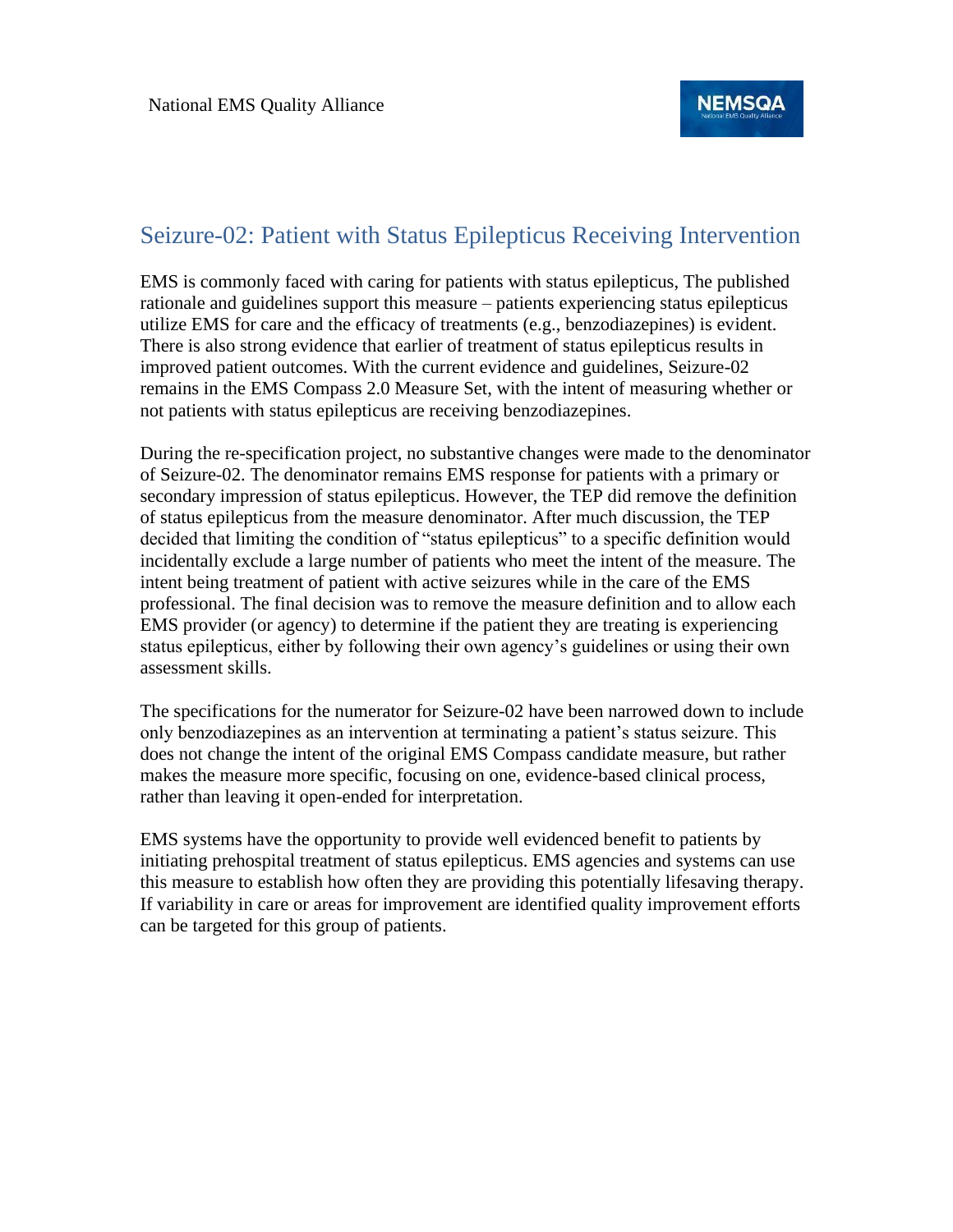#### Seizure-02: Patient with Status Epilepticus Receiving Intervention

EMS is commonly faced with caring for patients with status epilepticus, The published rationale and guidelines support this measure – patients experiencing status epilepticus utilize EMS for care and the efficacy of treatments (e.g., benzodiazepines) is evident. There is also strong evidence that earlier of treatment of status epilepticus results in improved patient outcomes. With the current evidence and guidelines, Seizure-02 remains in the EMS Compass 2.0 Measure Set, with the intent of measuring whether or not patients with status epilepticus are receiving benzodiazepines.

During the re-specification project, no substantive changes were made to the denominator of Seizure-02. The denominator remains EMS response for patients with a primary or secondary impression of status epilepticus. However, the TEP did remove the definition of status epilepticus from the measure denominator. After much discussion, the TEP decided that limiting the condition of "status epilepticus" to a specific definition would incidentally exclude a large number of patients who meet the intent of the measure. The intent being treatment of patient with active seizures while in the care of the EMS professional. The final decision was to remove the measure definition and to allow each EMS provider (or agency) to determine if the patient they are treating is experiencing status epilepticus, either by following their own agency's guidelines or using their own assessment skills.

The specifications for the numerator for Seizure-02 have been narrowed down to include only benzodiazepines as an intervention at terminating a patient's status seizure. This does not change the intent of the original EMS Compass candidate measure, but rather makes the measure more specific, focusing on one, evidence-based clinical process, rather than leaving it open-ended for interpretation.

EMS systems have the opportunity to provide well evidenced benefit to patients by initiating prehospital treatment of status epilepticus. EMS agencies and systems can use this measure to establish how often they are providing this potentially lifesaving therapy. If variability in care or areas for improvement are identified quality improvement efforts can be targeted for this group of patients.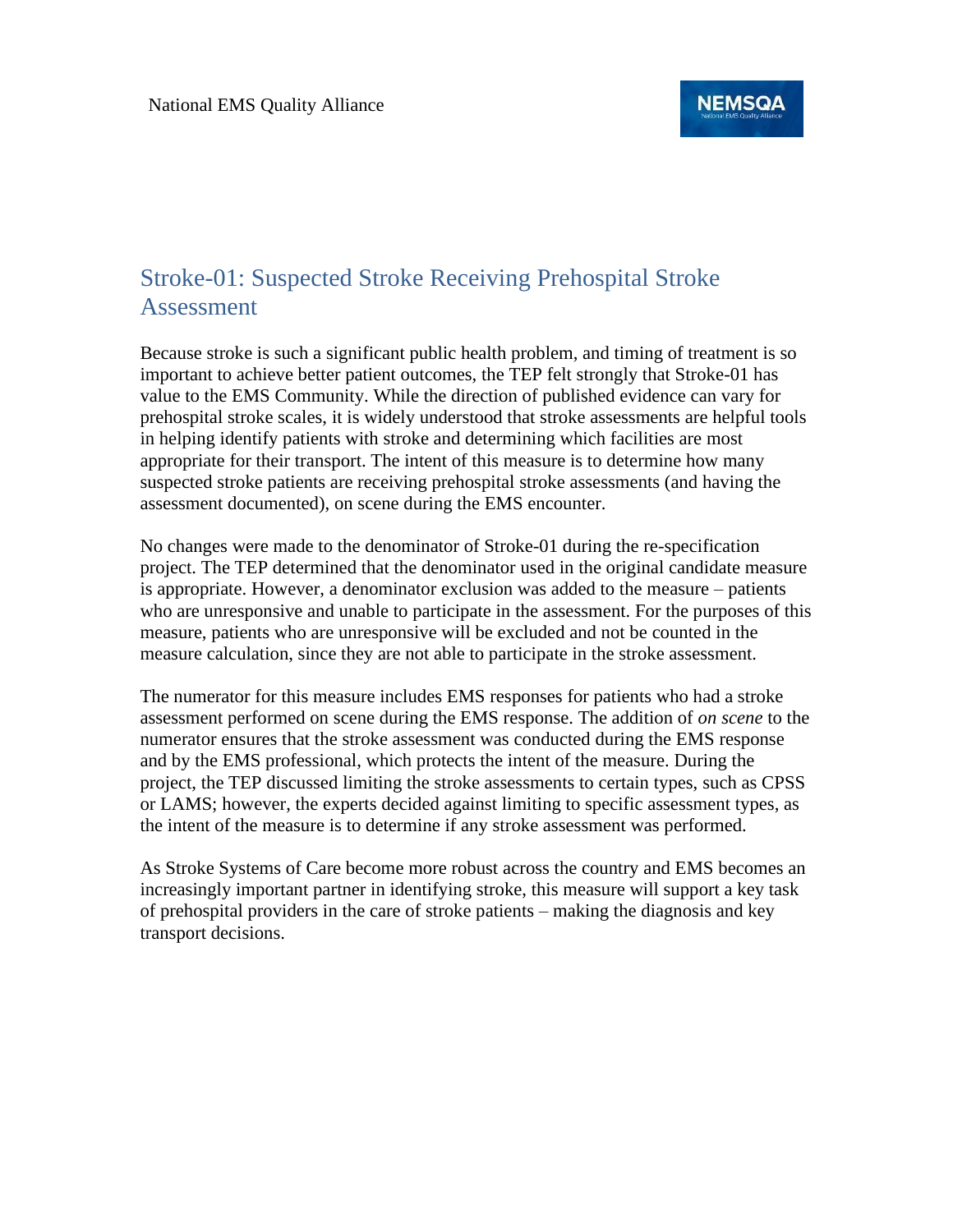## Stroke-01: Suspected Stroke Receiving Prehospital Stroke Assessment

Because stroke is such a significant public health problem, and timing of treatment is so important to achieve better patient outcomes, the TEP felt strongly that Stroke-01 has value to the EMS Community. While the direction of published evidence can vary for prehospital stroke scales, it is widely understood that stroke assessments are helpful tools in helping identify patients with stroke and determining which facilities are most appropriate for their transport. The intent of this measure is to determine how many suspected stroke patients are receiving prehospital stroke assessments (and having the assessment documented), on scene during the EMS encounter.

No changes were made to the denominator of Stroke-01 during the re-specification project. The TEP determined that the denominator used in the original candidate measure is appropriate. However, a denominator exclusion was added to the measure – patients who are unresponsive and unable to participate in the assessment. For the purposes of this measure, patients who are unresponsive will be excluded and not be counted in the measure calculation, since they are not able to participate in the stroke assessment.

The numerator for this measure includes EMS responses for patients who had a stroke assessment performed on scene during the EMS response. The addition of *on scene* to the numerator ensures that the stroke assessment was conducted during the EMS response and by the EMS professional, which protects the intent of the measure. During the project, the TEP discussed limiting the stroke assessments to certain types, such as CPSS or LAMS; however, the experts decided against limiting to specific assessment types, as the intent of the measure is to determine if any stroke assessment was performed.

As Stroke Systems of Care become more robust across the country and EMS becomes an increasingly important partner in identifying stroke, this measure will support a key task of prehospital providers in the care of stroke patients – making the diagnosis and key transport decisions.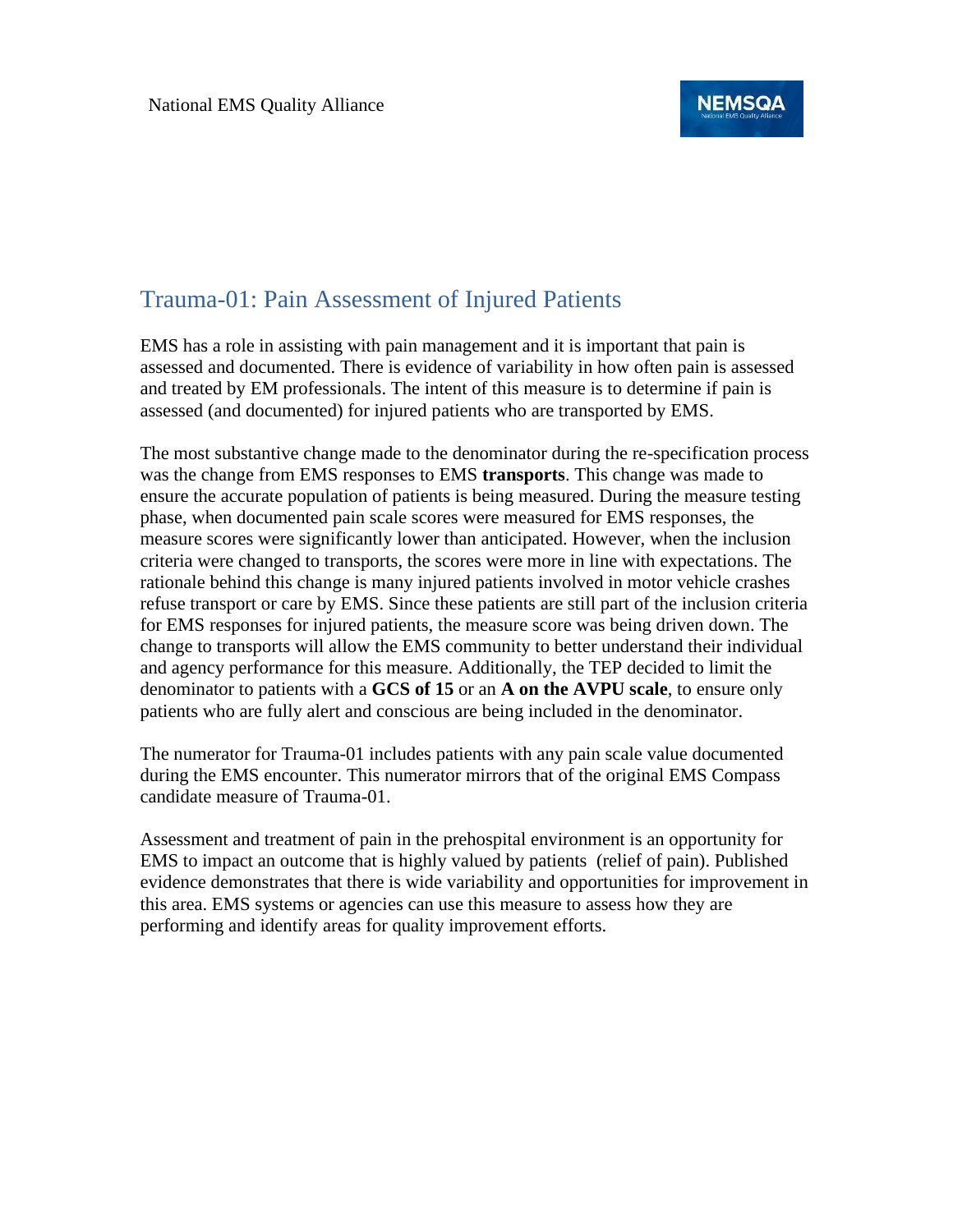

### Trauma-01: Pain Assessment of Injured Patients

EMS has a role in assisting with pain management and it is important that pain is assessed and documented. There is evidence of variability in how often pain is assessed and treated by EM professionals. The intent of this measure is to determine if pain is assessed (and documented) for injured patients who are transported by EMS.

The most substantive change made to the denominator during the re-specification process was the change from EMS responses to EMS **transports**. This change was made to ensure the accurate population of patients is being measured. During the measure testing phase, when documented pain scale scores were measured for EMS responses, the measure scores were significantly lower than anticipated. However, when the inclusion criteria were changed to transports, the scores were more in line with expectations. The rationale behind this change is many injured patients involved in motor vehicle crashes refuse transport or care by EMS. Since these patients are still part of the inclusion criteria for EMS responses for injured patients, the measure score was being driven down. The change to transports will allow the EMS community to better understand their individual and agency performance for this measure. Additionally, the TEP decided to limit the denominator to patients with a **GCS of 15** or an **A on the AVPU scale**, to ensure only patients who are fully alert and conscious are being included in the denominator.

The numerator for Trauma-01 includes patients with any pain scale value documented during the EMS encounter. This numerator mirrors that of the original EMS Compass candidate measure of Trauma-01.

Assessment and treatment of pain in the prehospital environment is an opportunity for EMS to impact an outcome that is highly valued by patients (relief of pain). Published evidence demonstrates that there is wide variability and opportunities for improvement in this area. EMS systems or agencies can use this measure to assess how they are performing and identify areas for quality improvement efforts.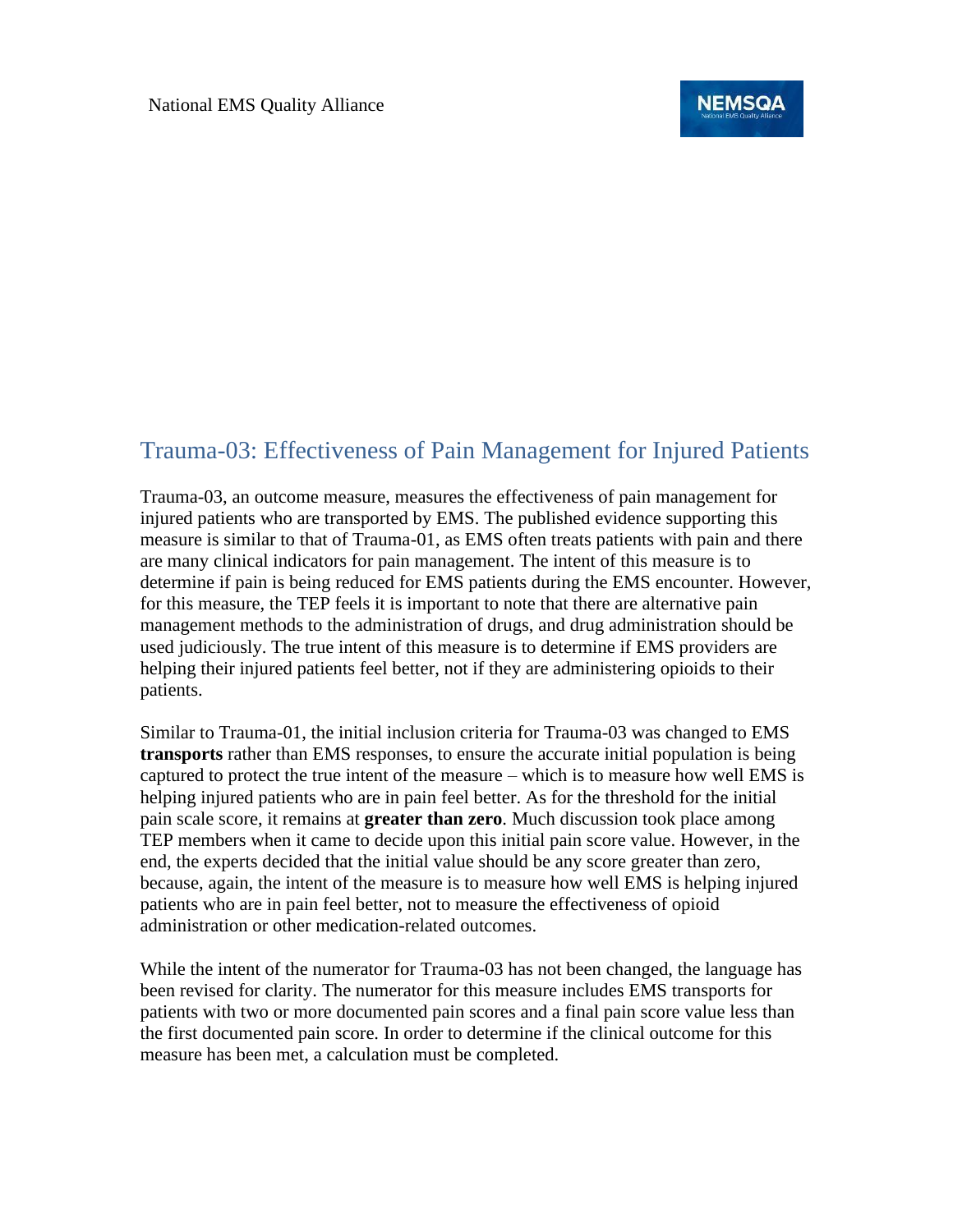

## Trauma-03: Effectiveness of Pain Management for Injured Patients

Trauma-03, an outcome measure, measures the effectiveness of pain management for injured patients who are transported by EMS. The published evidence supporting this measure is similar to that of Trauma-01, as EMS often treats patients with pain and there are many clinical indicators for pain management. The intent of this measure is to determine if pain is being reduced for EMS patients during the EMS encounter. However, for this measure, the TEP feels it is important to note that there are alternative pain management methods to the administration of drugs, and drug administration should be used judiciously. The true intent of this measure is to determine if EMS providers are helping their injured patients feel better, not if they are administering opioids to their patients.

Similar to Trauma-01, the initial inclusion criteria for Trauma-03 was changed to EMS **transports** rather than EMS responses, to ensure the accurate initial population is being captured to protect the true intent of the measure – which is to measure how well EMS is helping injured patients who are in pain feel better. As for the threshold for the initial pain scale score, it remains at **greater than zero**. Much discussion took place among TEP members when it came to decide upon this initial pain score value. However, in the end, the experts decided that the initial value should be any score greater than zero, because, again, the intent of the measure is to measure how well EMS is helping injured patients who are in pain feel better, not to measure the effectiveness of opioid administration or other medication-related outcomes.

While the intent of the numerator for Trauma-03 has not been changed, the language has been revised for clarity. The numerator for this measure includes EMS transports for patients with two or more documented pain scores and a final pain score value less than the first documented pain score. In order to determine if the clinical outcome for this measure has been met, a calculation must be completed.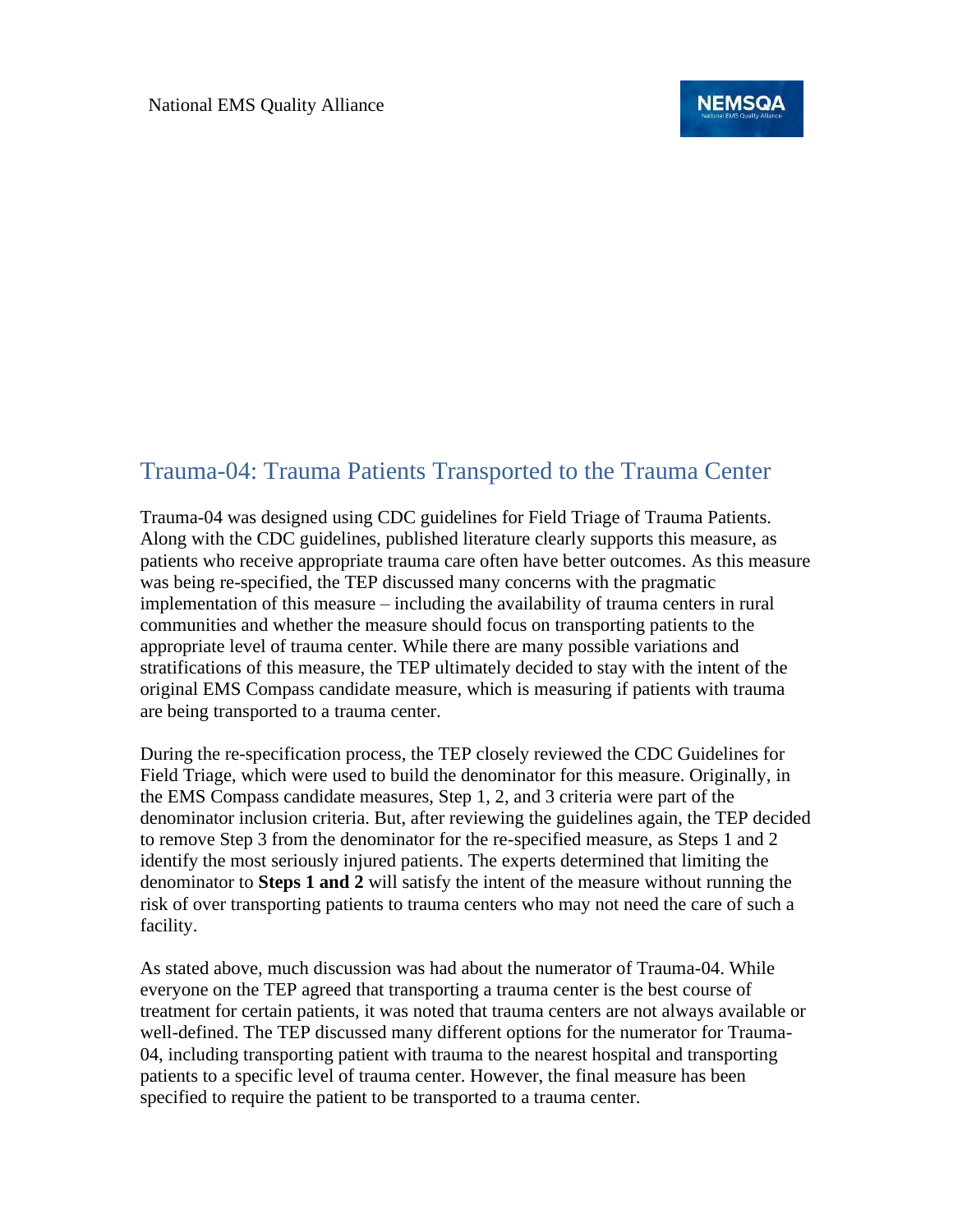

### Trauma-04: Trauma Patients Transported to the Trauma Center

Trauma-04 was designed using CDC guidelines for Field Triage of Trauma Patients. Along with the CDC guidelines, published literature clearly supports this measure, as patients who receive appropriate trauma care often have better outcomes. As this measure was being re-specified, the TEP discussed many concerns with the pragmatic implementation of this measure – including the availability of trauma centers in rural communities and whether the measure should focus on transporting patients to the appropriate level of trauma center. While there are many possible variations and stratifications of this measure, the TEP ultimately decided to stay with the intent of the original EMS Compass candidate measure, which is measuring if patients with trauma are being transported to a trauma center.

During the re-specification process, the TEP closely reviewed the CDC Guidelines for Field Triage, which were used to build the denominator for this measure. Originally, in the EMS Compass candidate measures, Step 1, 2, and 3 criteria were part of the denominator inclusion criteria. But, after reviewing the guidelines again, the TEP decided to remove Step 3 from the denominator for the re-specified measure, as Steps 1 and 2 identify the most seriously injured patients. The experts determined that limiting the denominator to **Steps 1 and 2** will satisfy the intent of the measure without running the risk of over transporting patients to trauma centers who may not need the care of such a facility.

As stated above, much discussion was had about the numerator of Trauma-04. While everyone on the TEP agreed that transporting a trauma center is the best course of treatment for certain patients, it was noted that trauma centers are not always available or well-defined. The TEP discussed many different options for the numerator for Trauma-04, including transporting patient with trauma to the nearest hospital and transporting patients to a specific level of trauma center. However, the final measure has been specified to require the patient to be transported to a trauma center.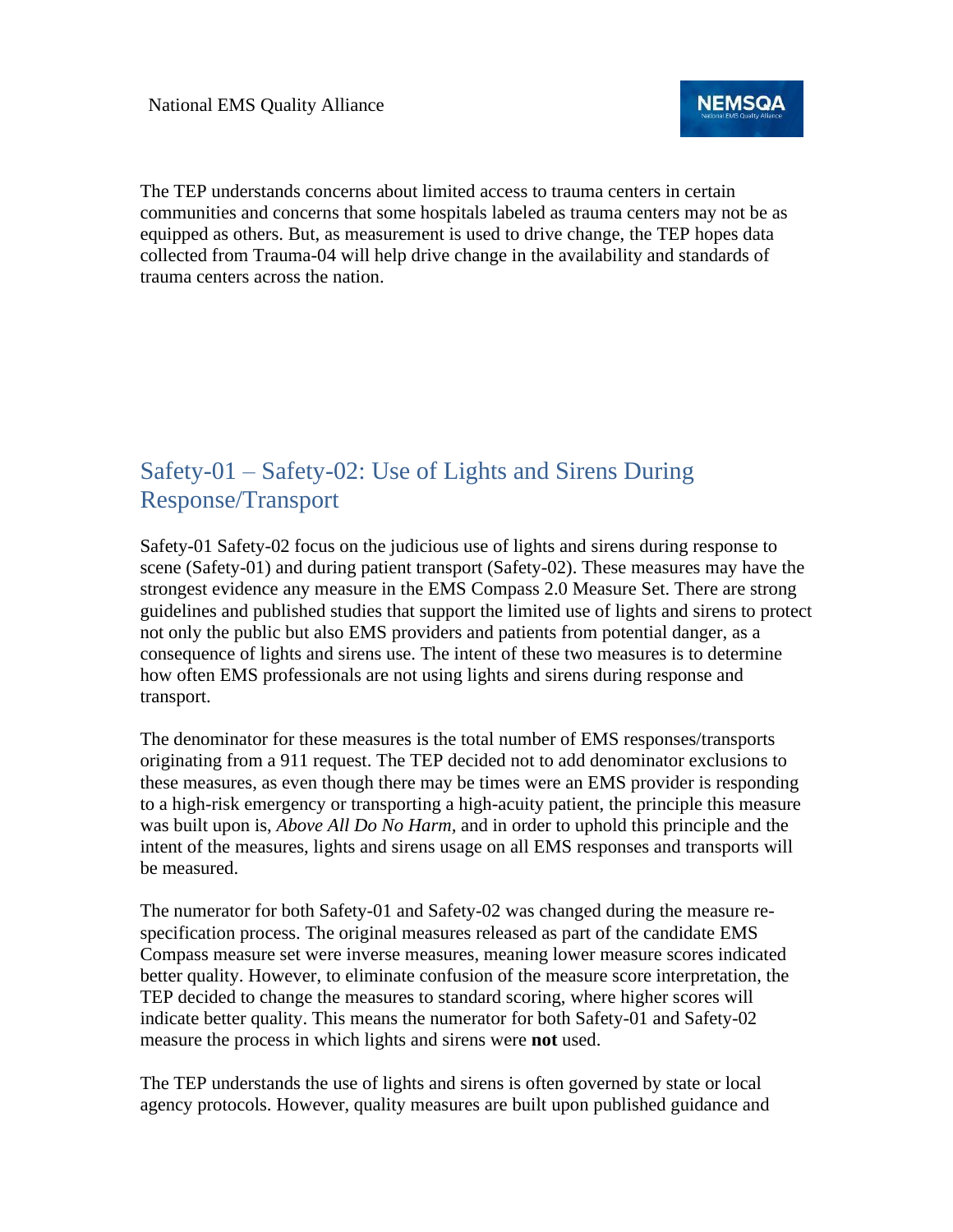

The TEP understands concerns about limited access to trauma centers in certain communities and concerns that some hospitals labeled as trauma centers may not be as equipped as others. But, as measurement is used to drive change, the TEP hopes data collected from Trauma-04 will help drive change in the availability and standards of trauma centers across the nation.

# Safety-01 – Safety-02: Use of Lights and Sirens During Response/Transport

Safety-01 Safety-02 focus on the judicious use of lights and sirens during response to scene (Safety-01) and during patient transport (Safety-02). These measures may have the strongest evidence any measure in the EMS Compass 2.0 Measure Set. There are strong guidelines and published studies that support the limited use of lights and sirens to protect not only the public but also EMS providers and patients from potential danger, as a consequence of lights and sirens use. The intent of these two measures is to determine how often EMS professionals are not using lights and sirens during response and transport.

The denominator for these measures is the total number of EMS responses/transports originating from a 911 request. The TEP decided not to add denominator exclusions to these measures, as even though there may be times were an EMS provider is responding to a high-risk emergency or transporting a high-acuity patient, the principle this measure was built upon is, *Above All Do No Harm,* and in order to uphold this principle and the intent of the measures, lights and sirens usage on all EMS responses and transports will be measured.

The numerator for both Safety-01 and Safety-02 was changed during the measure respecification process. The original measures released as part of the candidate EMS Compass measure set were inverse measures, meaning lower measure scores indicated better quality. However, to eliminate confusion of the measure score interpretation, the TEP decided to change the measures to standard scoring, where higher scores will indicate better quality. This means the numerator for both Safety-01 and Safety-02 measure the process in which lights and sirens were **not** used.

The TEP understands the use of lights and sirens is often governed by state or local agency protocols. However, quality measures are built upon published guidance and